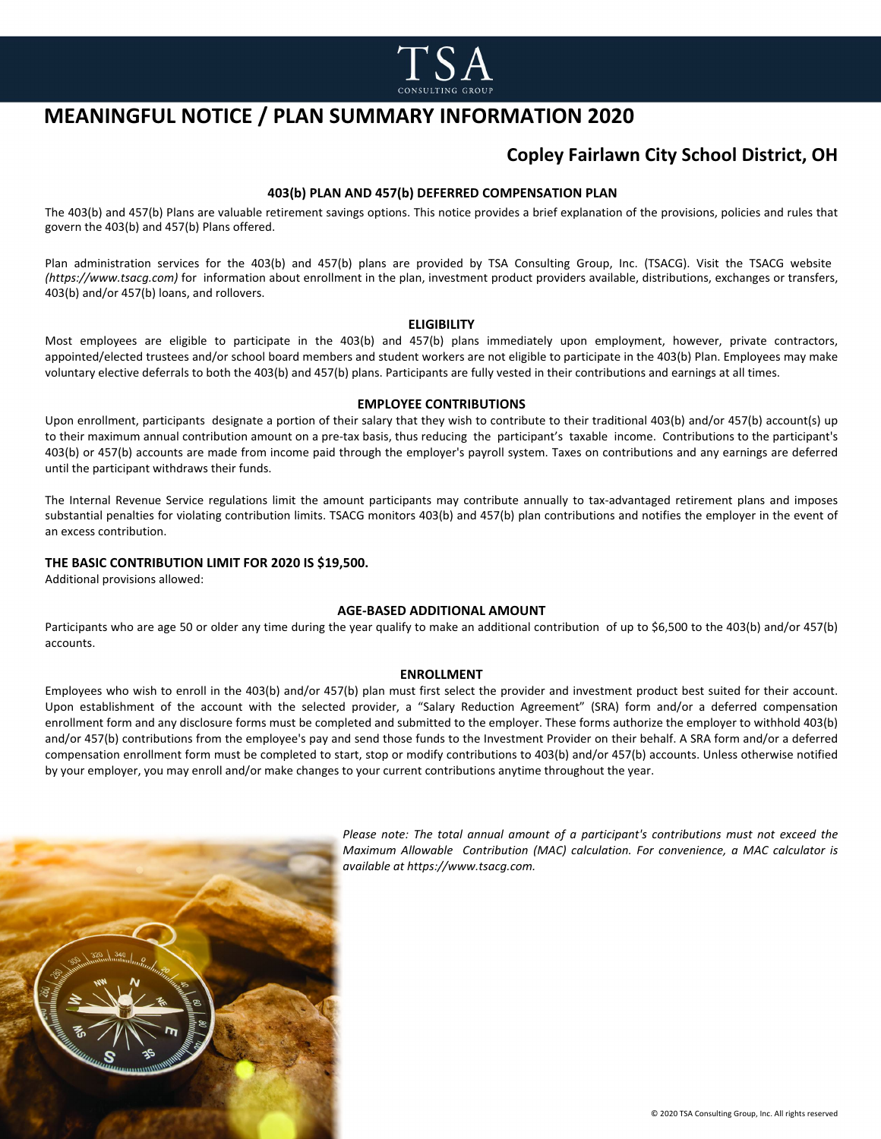

# **MEANINGFUL NOTICE / PLAN SUMMARY INFORMATION 2020**

## **Copley Fairlawn City School District, OH**

### **403(b) PLAN AND 457(b) DEFERRED COMPENSATION PLAN**

The 403(b) and 457(b) Plans are valuable retirement savings options. This notice provides a brief explanation of the provisions, policies and rules that govern the 403(b) and 457(b) Plans offered.

Plan administration services for the 403(b) and 457(b) plans are provided by TSA Consulting Group, Inc. (TSACG). Visit the TSACG website *(https://www.tsacg.com)* for information about enrollment in the plan, investment product providers available, distributions, exchanges or transfers, 403(b) and/or 457(b) loans, and rollovers.

#### **ELIGIBILITY**

Most employees are eligible to participate in the 403(b) and 457(b) plans immediately upon employment, however, private contractors, appointed/elected trustees and/or school board members and student workers are not eligible to participate in the 403(b) Plan. Employees may make voluntary elective deferrals to both the 403(b) and 457(b) plans. Participants are fully vested in their contributions and earnings at all times.

#### **EMPLOYEE CONTRIBUTIONS**

Upon enrollment, participants designate a portion of their salary that they wish to contribute to their traditional 403(b) and/or 457(b) account(s) up to their maximum annual contribution amount on a pre-tax basis, thus reducing the participant's taxable income. Contributions to the participant's 403(b) or 457(b) accounts are made from income paid through the employer's payroll system. Taxes on contributions and any earnings are deferred until the participant withdraws their funds.

The Internal Revenue Service regulations limit the amount participants may contribute annually to tax-advantaged retirement plans and imposes substantial penalties for violating contribution limits. TSACG monitors 403(b) and 457(b) plan contributions and notifies the employer in the event of an excess contribution.

#### **THE BASIC CONTRIBUTION LIMIT FOR 2020 IS \$19,500.**

Additional provisions allowed:

### **AGE-BASED ADDITIONAL AMOUNT**

Participants who are age 50 or older any time during the year qualify to make an additional contribution of up to \$6,500 to the 403(b) and/or 457(b) accounts.

#### **ENROLLMENT**

Employees who wish to enroll in the 403(b) and/or 457(b) plan must first select the provider and investment product best suited for their account. Upon establishment of the account with the selected provider, a "Salary Reduction Agreement" (SRA) form and/or a deferred compensation enrollment form and any disclosure forms must be completed and submitted to the employer. These forms authorize the employer to withhold 403(b) and/or 457(b) contributions from the employee's pay and send those funds to the Investment Provider on their behalf. A SRA form and/or a deferred compensation enrollment form must be completed to start, stop or modify contributions to 403(b) and/or 457(b) accounts. Unless otherwise notified by your employer, you may enroll and/or make changes to your current contributions anytime throughout the year.



*Please note: The total annual amount of a participant's contributions must not exceed the Maximum Allowable Contribution (MAC) calculation. For convenience, a MAC calculator is available at https://www.tsacg.com.*